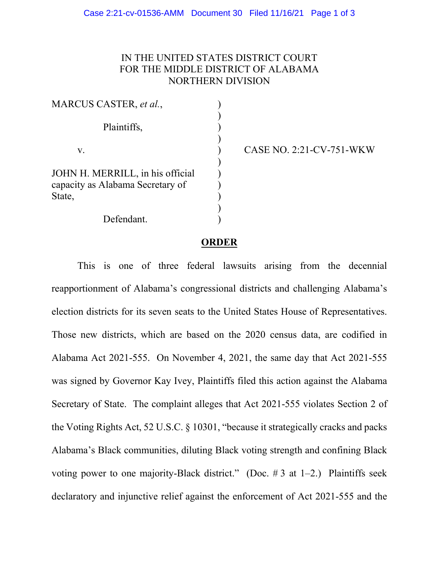## IN THE UNITED STATES DISTRICT COURT FOR THE MIDDLE DISTRICT OF ALABAMA NORTHERN DIVISION

| MARCUS CASTER, et al.,                                                         |  |
|--------------------------------------------------------------------------------|--|
| Plaintiffs,                                                                    |  |
| V.                                                                             |  |
| JOHN H. MERRILL, in his official<br>capacity as Alabama Secretary of<br>State, |  |
| Defendant.                                                                     |  |

CASE NO. 2:21-CV-751-WKW

## **ORDER**

This is one of three federal lawsuits arising from the decennial reapportionment of Alabama's congressional districts and challenging Alabama's election districts for its seven seats to the United States House of Representatives. Those new districts, which are based on the 2020 census data, are codified in Alabama Act 2021-555. On November 4, 2021, the same day that Act 2021-555 was signed by Governor Kay Ivey, Plaintiffs filed this action against the Alabama Secretary of State. The complaint alleges that Act 2021-555 violates Section 2 of the Voting Rights Act, 52 U.S.C. § 10301, "because it strategically cracks and packs Alabama's Black communities, diluting Black voting strength and confining Black voting power to one majority-Black district." (Doc.  $\#$  3 at 1–2.) Plaintiffs seek declaratory and injunctive relief against the enforcement of Act 2021-555 and the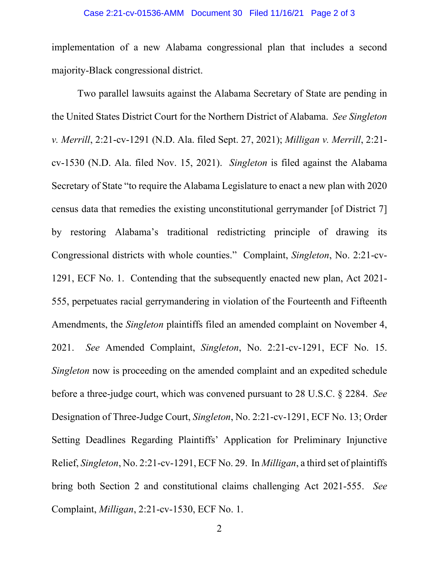## Case 2:21-cv-01536-AMM Document 30 Filed 11/16/21 Page 2 of 3

implementation of a new Alabama congressional plan that includes a second majority-Black congressional district.

Two parallel lawsuits against the Alabama Secretary of State are pending in the United States District Court for the Northern District of Alabama. *See Singleton v. Merrill*, 2:21-cv-1291 (N.D. Ala. filed Sept. 27, 2021); *Milligan v. Merrill*, 2:21 cv-1530 (N.D. Ala. filed Nov. 15, 2021). *Singleton* is filed against the Alabama Secretary of State "to require the Alabama Legislature to enact a new plan with 2020 census data that remedies the existing unconstitutional gerrymander [of District 7] by restoring Alabama's traditional redistricting principle of drawing its Congressional districts with whole counties." Complaint, *Singleton*, No. 2:21-cv-1291, ECF No. 1. Contending that the subsequently enacted new plan, Act 2021- 555, perpetuates racial gerrymandering in violation of the Fourteenth and Fifteenth Amendments, the *Singleton* plaintiffs filed an amended complaint on November 4, 2021. *See* Amended Complaint, *Singleton*, No. 2:21-cv-1291, ECF No. 15. *Singleton* now is proceeding on the amended complaint and an expedited schedule before a three-judge court, which was convened pursuant to 28 U.S.C. § 2284. *See*  Designation of Three-Judge Court, *Singleton*, No. 2:21-cv-1291, ECF No. 13; Order Setting Deadlines Regarding Plaintiffs' Application for Preliminary Injunctive Relief, *Singleton*, No. 2:21-cv-1291, ECF No. 29. In *Milligan*, a third set of plaintiffs bring both Section 2 and constitutional claims challenging Act 2021-555. *See* Complaint, *Milligan*, 2:21-cv-1530, ECF No. 1.